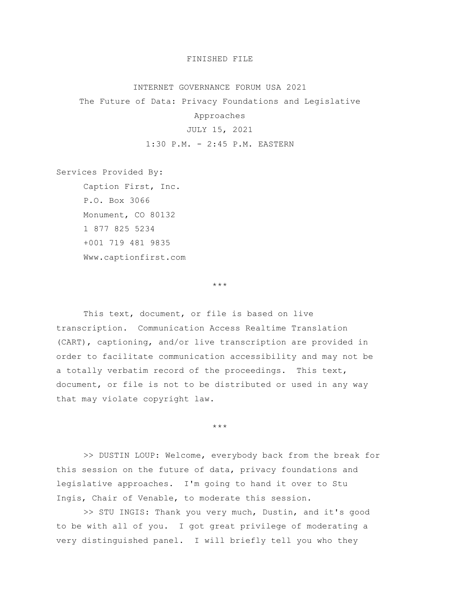## FINISHED FILE

## INTERNET GOVERNANCE FORUM USA 2021

The Future of Data: Privacy Foundations and Legislative

Approaches

## JULY 15, 2021

1:30 P.M. - 2:45 P.M. EASTERN

Services Provided By:

Caption First, Inc. P.O. Box 3066 Monument, CO 80132 1 877 825 5234 +001 719 481 9835 Www.captionfirst.com

\*\*\*

This text, document, or file is based on live transcription. Communication Access Realtime Translation (CART), captioning, and/or live transcription are provided in order to facilitate communication accessibility and may not be a totally verbatim record of the proceedings. This text, document, or file is not to be distributed or used in any way that may violate copyright law.

\*\*\*

>> DUSTIN LOUP: Welcome, everybody back from the break for this session on the future of data, privacy foundations and legislative approaches. I'm going to hand it over to Stu Ingis, Chair of Venable, to moderate this session.

>> STU INGIS: Thank you very much, Dustin, and it's good to be with all of you. I got great privilege of moderating a very distinguished panel. I will briefly tell you who they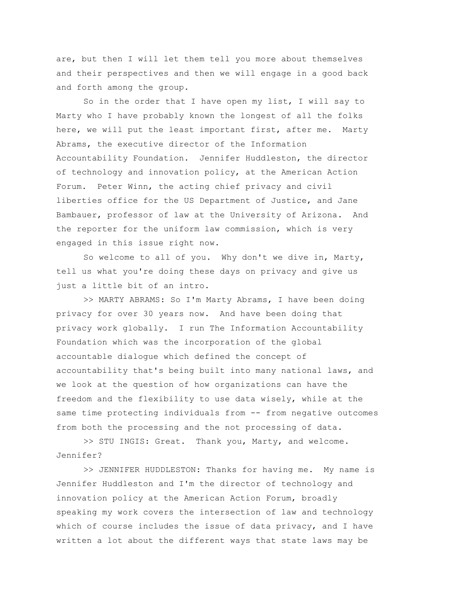are, but then I will let them tell you more about themselves and their perspectives and then we will engage in a good back and forth among the group.

So in the order that I have open my list, I will say to Marty who I have probably known the longest of all the folks here, we will put the least important first, after me. Marty Abrams, the executive director of the Information Accountability Foundation. Jennifer Huddleston, the director of technology and innovation policy, at the American Action Forum. Peter Winn, the acting chief privacy and civil liberties office for the US Department of Justice, and Jane Bambauer, professor of law at the University of Arizona. And the reporter for the uniform law commission, which is very engaged in this issue right now.

So welcome to all of you. Why don't we dive in, Marty, tell us what you're doing these days on privacy and give us just a little bit of an intro.

>> MARTY ABRAMS: So I'm Marty Abrams, I have been doing privacy for over 30 years now. And have been doing that privacy work globally. I run The Information Accountability Foundation which was the incorporation of the global accountable dialogue which defined the concept of accountability that's being built into many national laws, and we look at the question of how organizations can have the freedom and the flexibility to use data wisely, while at the same time protecting individuals from -- from negative outcomes from both the processing and the not processing of data.

>> STU INGIS: Great. Thank you, Marty, and welcome. Jennifer?

>> JENNIFER HUDDLESTON: Thanks for having me. My name is Jennifer Huddleston and I'm the director of technology and innovation policy at the American Action Forum, broadly speaking my work covers the intersection of law and technology which of course includes the issue of data privacy, and I have written a lot about the different ways that state laws may be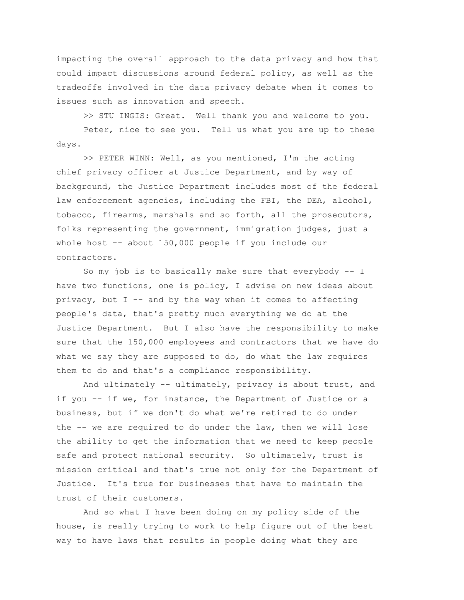impacting the overall approach to the data privacy and how that could impact discussions around federal policy, as well as the tradeoffs involved in the data privacy debate when it comes to issues such as innovation and speech.

>> STU INGIS: Great. Well thank you and welcome to you.

Peter, nice to see you. Tell us what you are up to these days.

>> PETER WINN: Well, as you mentioned, I'm the acting chief privacy officer at Justice Department, and by way of background, the Justice Department includes most of the federal law enforcement agencies, including the FBI, the DEA, alcohol, tobacco, firearms, marshals and so forth, all the prosecutors, folks representing the government, immigration judges, just a whole host  $-$ - about 150,000 people if you include our contractors.

So my job is to basically make sure that everybody -- I have two functions, one is policy, I advise on new ideas about privacy, but  $I$  -- and by the way when it comes to affecting people's data, that's pretty much everything we do at the Justice Department. But I also have the responsibility to make sure that the 150,000 employees and contractors that we have do what we say they are supposed to do, do what the law requires them to do and that's a compliance responsibility.

And ultimately -- ultimately, privacy is about trust, and if you -- if we, for instance, the Department of Justice or a business, but if we don't do what we're retired to do under the -- we are required to do under the law, then we will lose the ability to get the information that we need to keep people safe and protect national security. So ultimately, trust is mission critical and that's true not only for the Department of Justice. It's true for businesses that have to maintain the trust of their customers.

And so what I have been doing on my policy side of the house, is really trying to work to help figure out of the best way to have laws that results in people doing what they are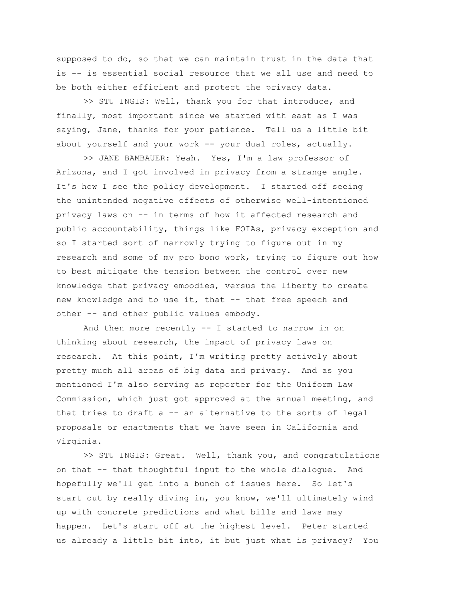supposed to do, so that we can maintain trust in the data that is -- is essential social resource that we all use and need to be both either efficient and protect the privacy data.

>> STU INGIS: Well, thank you for that introduce, and finally, most important since we started with east as I was saying, Jane, thanks for your patience. Tell us a little bit about yourself and your work -- your dual roles, actually.

>> JANE BAMBAUER: Yeah. Yes, I'm a law professor of Arizona, and I got involved in privacy from a strange angle. It's how I see the policy development. I started off seeing the unintended negative effects of otherwise well-intentioned privacy laws on -- in terms of how it affected research and public accountability, things like FOIAs, privacy exception and so I started sort of narrowly trying to figure out in my research and some of my pro bono work, trying to figure out how to best mitigate the tension between the control over new knowledge that privacy embodies, versus the liberty to create new knowledge and to use it, that -- that free speech and other -- and other public values embody.

And then more recently -- I started to narrow in on thinking about research, the impact of privacy laws on research. At this point, I'm writing pretty actively about pretty much all areas of big data and privacy. And as you mentioned I'm also serving as reporter for the Uniform Law Commission, which just got approved at the annual meeting, and that tries to draft a -- an alternative to the sorts of legal proposals or enactments that we have seen in California and Virginia.

>> STU INGIS: Great. Well, thank you, and congratulations on that -- that thoughtful input to the whole dialogue. And hopefully we'll get into a bunch of issues here. So let's start out by really diving in, you know, we'll ultimately wind up with concrete predictions and what bills and laws may happen. Let's start off at the highest level. Peter started us already a little bit into, it but just what is privacy? You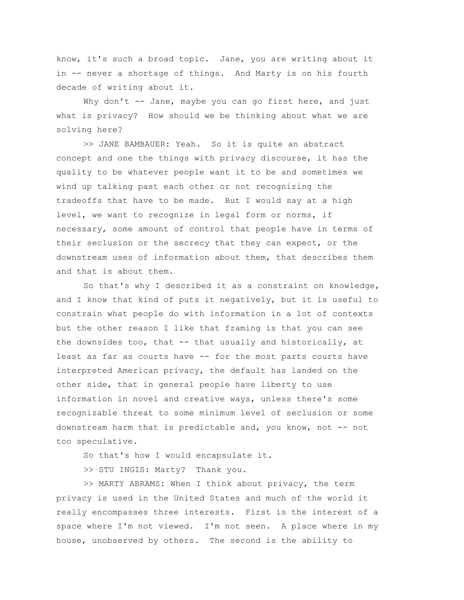know, it's such a broad topic. Jane, you are writing about it in -- never a shortage of things. And Marty is on his fourth decade of writing about it.

Why don't -- Jane, maybe you can go first here, and just what is privacy? How should we be thinking about what we are solving here?

>> JANE BAMBAUER: Yeah. So it is quite an abstract concept and one the things with privacy discourse, it has the quality to be whatever people want it to be and sometimes we wind up talking past each other or not recognizing the tradeoffs that have to be made. But I would say at a high level, we want to recognize in legal form or norms, if necessary, some amount of control that people have in terms of their seclusion or the secrecy that they can expect, or the downstream uses of information about them, that describes them and that is about them.

So that's why I described it as a constraint on knowledge, and I know that kind of puts it negatively, but it is useful to constrain what people do with information in a lot of contexts but the other reason I like that framing is that you can see the downsides too, that -- that usually and historically, at least as far as courts have -- for the most parts courts have interpreted American privacy, the default has landed on the other side, that in general people have liberty to use information in novel and creative ways, unless there's some recognizable threat to some minimum level of seclusion or some downstream harm that is predictable and, you know, not -- not too speculative.

So that's how I would encapsulate it.

>> STU INGIS: Marty? Thank you.

>> MARTY ABRAMS: When I think about privacy, the term privacy is used in the United States and much of the world it really encompasses three interests. First is the interest of a space where I'm not viewed. I'm not seen. A place where in my house, unobserved by others. The second is the ability to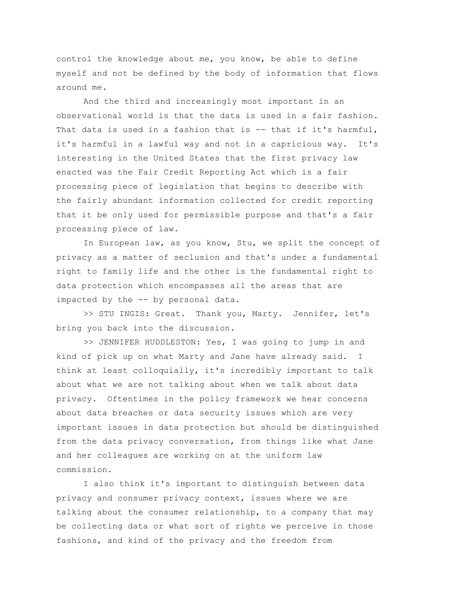control the knowledge about me, you know, be able to define myself and not be defined by the body of information that flows around me.

And the third and increasingly most important in an observational world is that the data is used in a fair fashion. That data is used in a fashion that is -- that if it's harmful, it's harmful in a lawful way and not in a capricious way. It's interesting in the United States that the first privacy law enacted was the Fair Credit Reporting Act which is a fair processing piece of legislation that begins to describe with the fairly abundant information collected for credit reporting that it be only used for permissible purpose and that's a fair processing piece of law.

In European law, as you know, Stu, we split the concept of privacy as a matter of seclusion and that's under a fundamental right to family life and the other is the fundamental right to data protection which encompasses all the areas that are impacted by the -- by personal data.

>> STU INGIS: Great. Thank you, Marty. Jennifer, let's bring you back into the discussion.

>> JENNIFER HUDDLESTON: Yes, I was going to jump in and kind of pick up on what Marty and Jane have already said. I think at least colloquially, it's incredibly important to talk about what we are not talking about when we talk about data privacy. Oftentimes in the policy framework we hear concerns about data breaches or data security issues which are very important issues in data protection but should be distinguished from the data privacy conversation, from things like what Jane and her colleagues are working on at the uniform law commission.

I also think it's important to distinguish between data privacy and consumer privacy context, issues where we are talking about the consumer relationship, to a company that may be collecting data or what sort of rights we perceive in those fashions, and kind of the privacy and the freedom from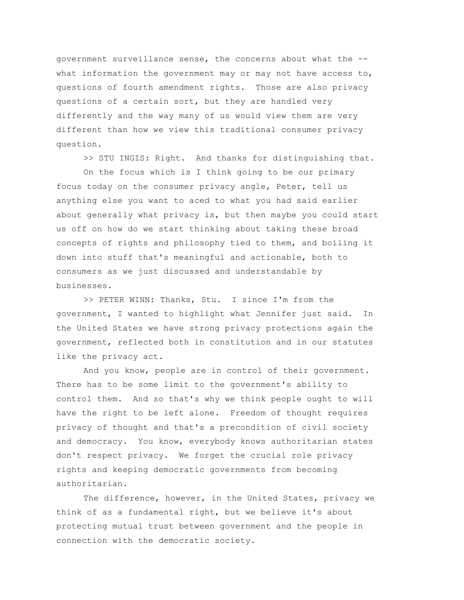government surveillance sense, the concerns about what the - what information the government may or may not have access to, questions of fourth amendment rights. Those are also privacy questions of a certain sort, but they are handled very differently and the way many of us would view them are very different than how we view this traditional consumer privacy question.

>> STU INGIS: Right. And thanks for distinguishing that. On the focus which is I think going to be our primary focus today on the consumer privacy angle, Peter, tell us anything else you want to aced to what you had said earlier about generally what privacy is, but then maybe you could start us off on how do we start thinking about taking these broad

concepts of rights and philosophy tied to them, and boiling it down into stuff that's meaningful and actionable, both to consumers as we just discussed and understandable by businesses.

>> PETER WINN: Thanks, Stu. I since I'm from the government, I wanted to highlight what Jennifer just said. In the United States we have strong privacy protections again the government, reflected both in constitution and in our statutes like the privacy act.

And you know, people are in control of their government. There has to be some limit to the government's ability to control them. And so that's why we think people ought to will have the right to be left alone. Freedom of thought requires privacy of thought and that's a precondition of civil society and democracy. You know, everybody knows authoritarian states don't respect privacy. We forget the crucial role privacy rights and keeping democratic governments from becoming authoritarian.

The difference, however, in the United States, privacy we think of as a fundamental right, but we believe it's about protecting mutual trust between government and the people in connection with the democratic society.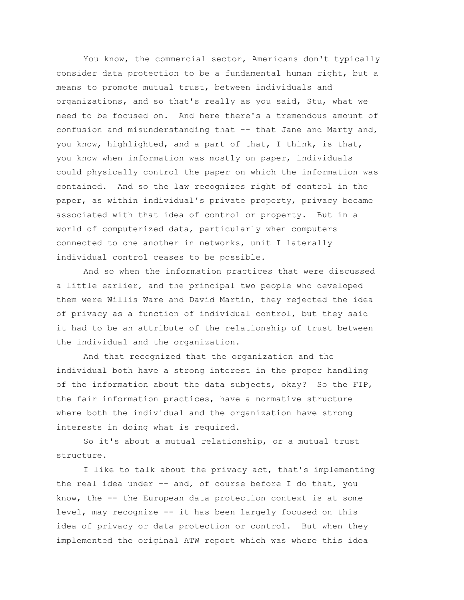You know, the commercial sector, Americans don't typically consider data protection to be a fundamental human right, but a means to promote mutual trust, between individuals and organizations, and so that's really as you said, Stu, what we need to be focused on. And here there's a tremendous amount of confusion and misunderstanding that -- that Jane and Marty and, you know, highlighted, and a part of that, I think, is that, you know when information was mostly on paper, individuals could physically control the paper on which the information was contained. And so the law recognizes right of control in the paper, as within individual's private property, privacy became associated with that idea of control or property. But in a world of computerized data, particularly when computers connected to one another in networks, unit I laterally individual control ceases to be possible.

And so when the information practices that were discussed a little earlier, and the principal two people who developed them were Willis Ware and David Martin, they rejected the idea of privacy as a function of individual control, but they said it had to be an attribute of the relationship of trust between the individual and the organization.

And that recognized that the organization and the individual both have a strong interest in the proper handling of the information about the data subjects, okay? So the FIP, the fair information practices, have a normative structure where both the individual and the organization have strong interests in doing what is required.

So it's about a mutual relationship, or a mutual trust structure.

I like to talk about the privacy act, that's implementing the real idea under -- and, of course before I do that, you know, the -- the European data protection context is at some level, may recognize -- it has been largely focused on this idea of privacy or data protection or control. But when they implemented the original ATW report which was where this idea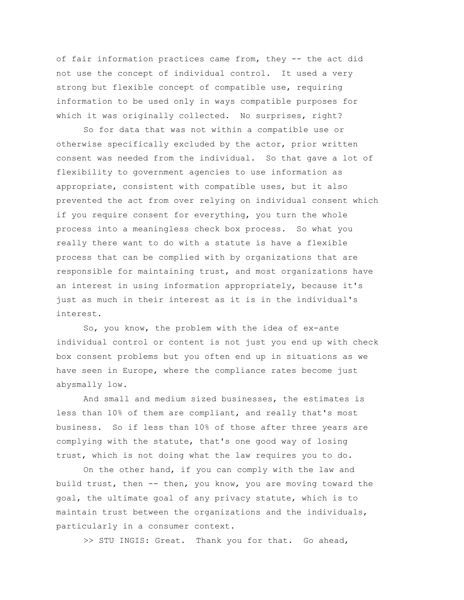of fair information practices came from, they -- the act did not use the concept of individual control. It used a very strong but flexible concept of compatible use, requiring information to be used only in ways compatible purposes for which it was originally collected. No surprises, right?

So for data that was not within a compatible use or otherwise specifically excluded by the actor, prior written consent was needed from the individual. So that gave a lot of flexibility to government agencies to use information as appropriate, consistent with compatible uses, but it also prevented the act from over relying on individual consent which if you require consent for everything, you turn the whole process into a meaningless check box process. So what you really there want to do with a statute is have a flexible process that can be complied with by organizations that are responsible for maintaining trust, and most organizations have an interest in using information appropriately, because it's just as much in their interest as it is in the individual's interest.

So, you know, the problem with the idea of ex-ante individual control or content is not just you end up with check box consent problems but you often end up in situations as we have seen in Europe, where the compliance rates become just abysmally low.

And small and medium sized businesses, the estimates is less than 10% of them are compliant, and really that's most business. So if less than 10% of those after three years are complying with the statute, that's one good way of losing trust, which is not doing what the law requires you to do.

On the other hand, if you can comply with the law and build trust, then -- then, you know, you are moving toward the goal, the ultimate goal of any privacy statute, which is to maintain trust between the organizations and the individuals, particularly in a consumer context.

>> STU INGIS: Great. Thank you for that. Go ahead,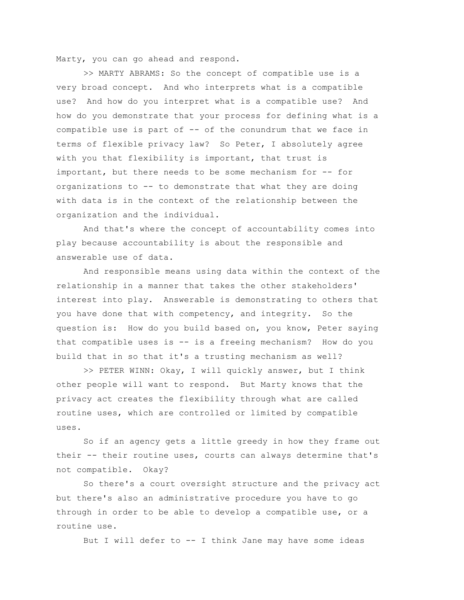Marty, you can go ahead and respond.

>> MARTY ABRAMS: So the concept of compatible use is a very broad concept. And who interprets what is a compatible use? And how do you interpret what is a compatible use? And how do you demonstrate that your process for defining what is a compatible use is part of -- of the conundrum that we face in terms of flexible privacy law? So Peter, I absolutely agree with you that flexibility is important, that trust is important, but there needs to be some mechanism for -- for organizations to -- to demonstrate that what they are doing with data is in the context of the relationship between the organization and the individual.

And that's where the concept of accountability comes into play because accountability is about the responsible and answerable use of data.

And responsible means using data within the context of the relationship in a manner that takes the other stakeholders' interest into play. Answerable is demonstrating to others that you have done that with competency, and integrity. So the question is: How do you build based on, you know, Peter saying that compatible uses is -- is a freeing mechanism? How do you build that in so that it's a trusting mechanism as well?

>> PETER WINN: Okay, I will quickly answer, but I think other people will want to respond. But Marty knows that the privacy act creates the flexibility through what are called routine uses, which are controlled or limited by compatible uses.

So if an agency gets a little greedy in how they frame out their -- their routine uses, courts can always determine that's not compatible. Okay?

So there's a court oversight structure and the privacy act but there's also an administrative procedure you have to go through in order to be able to develop a compatible use, or a routine use.

But I will defer to -- I think Jane may have some ideas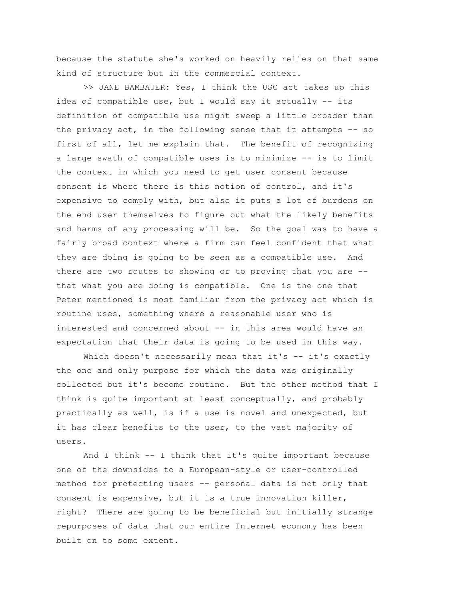because the statute she's worked on heavily relies on that same kind of structure but in the commercial context.

>> JANE BAMBAUER: Yes, I think the USC act takes up this idea of compatible use, but I would say it actually -- its definition of compatible use might sweep a little broader than the privacy act, in the following sense that it attempts -- so first of all, let me explain that. The benefit of recognizing a large swath of compatible uses is to minimize -- is to limit the context in which you need to get user consent because consent is where there is this notion of control, and it's expensive to comply with, but also it puts a lot of burdens on the end user themselves to figure out what the likely benefits and harms of any processing will be. So the goal was to have a fairly broad context where a firm can feel confident that what they are doing is going to be seen as a compatible use. And there are two routes to showing or to proving that you are - that what you are doing is compatible. One is the one that Peter mentioned is most familiar from the privacy act which is routine uses, something where a reasonable user who is interested and concerned about -- in this area would have an expectation that their data is going to be used in this way.

Which doesn't necessarily mean that it's -- it's exactly the one and only purpose for which the data was originally collected but it's become routine. But the other method that I think is quite important at least conceptually, and probably practically as well, is if a use is novel and unexpected, but it has clear benefits to the user, to the vast majority of users.

And I think -- I think that it's quite important because one of the downsides to a European-style or user-controlled method for protecting users -- personal data is not only that consent is expensive, but it is a true innovation killer, right? There are going to be beneficial but initially strange repurposes of data that our entire Internet economy has been built on to some extent.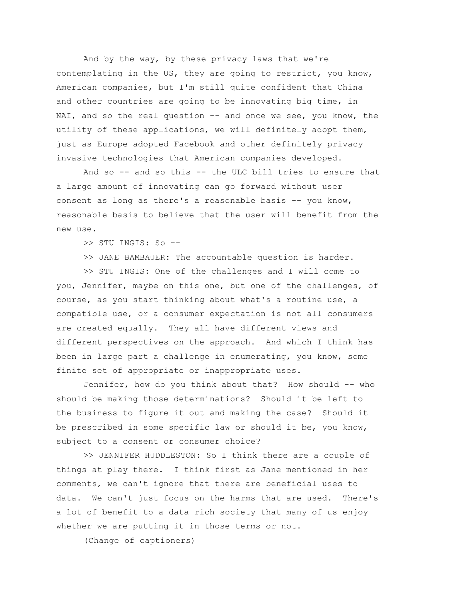And by the way, by these privacy laws that we're contemplating in the US, they are going to restrict, you know, American companies, but I'm still quite confident that China and other countries are going to be innovating big time, in NAI, and so the real question -- and once we see, you know, the utility of these applications, we will definitely adopt them, just as Europe adopted Facebook and other definitely privacy invasive technologies that American companies developed.

And so -- and so this -- the ULC bill tries to ensure that a large amount of innovating can go forward without user consent as long as there's a reasonable basis -- you know, reasonable basis to believe that the user will benefit from the new use.

>> STU INGIS: So --

>> JANE BAMBAUER: The accountable question is harder.

>> STU INGIS: One of the challenges and I will come to you, Jennifer, maybe on this one, but one of the challenges, of course, as you start thinking about what's a routine use, a compatible use, or a consumer expectation is not all consumers are created equally. They all have different views and different perspectives on the approach. And which I think has been in large part a challenge in enumerating, you know, some finite set of appropriate or inappropriate uses.

Jennifer, how do you think about that? How should -- who should be making those determinations? Should it be left to the business to figure it out and making the case? Should it be prescribed in some specific law or should it be, you know, subject to a consent or consumer choice?

>> JENNIFER HUDDLESTON: So I think there are a couple of things at play there. I think first as Jane mentioned in her comments, we can't ignore that there are beneficial uses to data. We can't just focus on the harms that are used. There's a lot of benefit to a data rich society that many of us enjoy whether we are putting it in those terms or not.

(Change of captioners)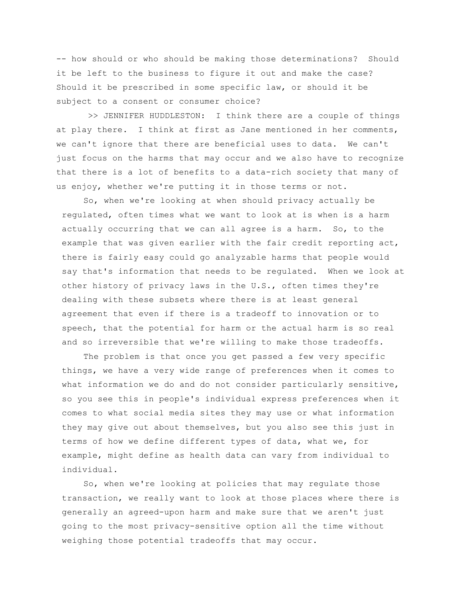-- how should or who should be making those determinations? Should it be left to the business to figure it out and make the case? Should it be prescribed in some specific law, or should it be subject to a consent or consumer choice?

>> JENNIFER HUDDLESTON: I think there are a couple of things at play there. I think at first as Jane mentioned in her comments, we can't ignore that there are beneficial uses to data. We can't just focus on the harms that may occur and we also have to recognize that there is a lot of benefits to a data-rich society that many of us enjoy, whether we're putting it in those terms or not.

So, when we're looking at when should privacy actually be regulated, often times what we want to look at is when is a harm actually occurring that we can all agree is a harm. So, to the example that was given earlier with the fair credit reporting act, there is fairly easy could go analyzable harms that people would say that's information that needs to be regulated. When we look at other history of privacy laws in the U.S., often times they're dealing with these subsets where there is at least general agreement that even if there is a tradeoff to innovation or to speech, that the potential for harm or the actual harm is so real and so irreversible that we're willing to make those tradeoffs.

The problem is that once you get passed a few very specific things, we have a very wide range of preferences when it comes to what information we do and do not consider particularly sensitive, so you see this in people's individual express preferences when it comes to what social media sites they may use or what information they may give out about themselves, but you also see this just in terms of how we define different types of data, what we, for example, might define as health data can vary from individual to individual.

So, when we're looking at policies that may regulate those transaction, we really want to look at those places where there is generally an agreed-upon harm and make sure that we aren't just going to the most privacy-sensitive option all the time without weighing those potential tradeoffs that may occur.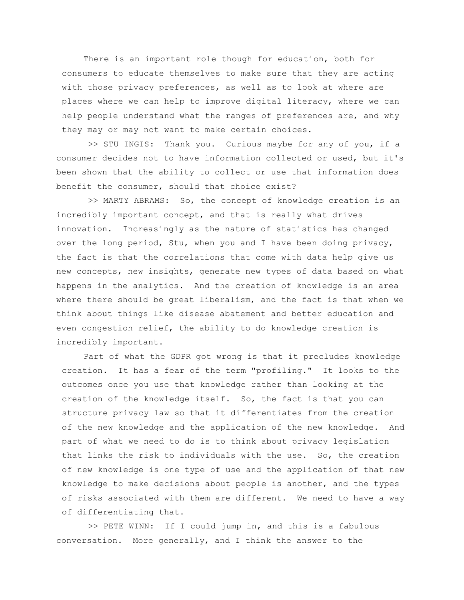There is an important role though for education, both for consumers to educate themselves to make sure that they are acting with those privacy preferences, as well as to look at where are places where we can help to improve digital literacy, where we can help people understand what the ranges of preferences are, and why they may or may not want to make certain choices.

>> STU INGIS: Thank you. Curious maybe for any of you, if a consumer decides not to have information collected or used, but it's been shown that the ability to collect or use that information does benefit the consumer, should that choice exist?

>> MARTY ABRAMS: So, the concept of knowledge creation is an incredibly important concept, and that is really what drives innovation. Increasingly as the nature of statistics has changed over the long period, Stu, when you and I have been doing privacy, the fact is that the correlations that come with data help give us new concepts, new insights, generate new types of data based on what happens in the analytics. And the creation of knowledge is an area where there should be great liberalism, and the fact is that when we think about things like disease abatement and better education and even congestion relief, the ability to do knowledge creation is incredibly important.

Part of what the GDPR got wrong is that it precludes knowledge creation. It has a fear of the term "profiling." It looks to the outcomes once you use that knowledge rather than looking at the creation of the knowledge itself. So, the fact is that you can structure privacy law so that it differentiates from the creation of the new knowledge and the application of the new knowledge. And part of what we need to do is to think about privacy legislation that links the risk to individuals with the use. So, the creation of new knowledge is one type of use and the application of that new knowledge to make decisions about people is another, and the types of risks associated with them are different. We need to have a way of differentiating that.

>> PETE WINN: If I could jump in, and this is a fabulous conversation. More generally, and I think the answer to the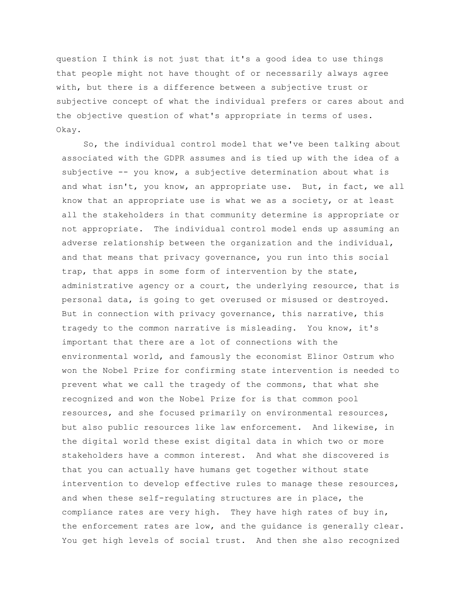question I think is not just that it's a good idea to use things that people might not have thought of or necessarily always agree with, but there is a difference between a subjective trust or subjective concept of what the individual prefers or cares about and the objective question of what's appropriate in terms of uses. Okay.

So, the individual control model that we've been talking about associated with the GDPR assumes and is tied up with the idea of a subjective -- you know, a subjective determination about what is and what isn't, you know, an appropriate use. But, in fact, we all know that an appropriate use is what we as a society, or at least all the stakeholders in that community determine is appropriate or not appropriate. The individual control model ends up assuming an adverse relationship between the organization and the individual, and that means that privacy governance, you run into this social trap, that apps in some form of intervention by the state, administrative agency or a court, the underlying resource, that is personal data, is going to get overused or misused or destroyed. But in connection with privacy governance, this narrative, this tragedy to the common narrative is misleading. You know, it's important that there are a lot of connections with the environmental world, and famously the economist Elinor Ostrum who won the Nobel Prize for confirming state intervention is needed to prevent what we call the tragedy of the commons, that what she recognized and won the Nobel Prize for is that common pool resources, and she focused primarily on environmental resources, but also public resources like law enforcement. And likewise, in the digital world these exist digital data in which two or more stakeholders have a common interest. And what she discovered is that you can actually have humans get together without state intervention to develop effective rules to manage these resources, and when these self-regulating structures are in place, the compliance rates are very high. They have high rates of buy in, the enforcement rates are low, and the guidance is generally clear. You get high levels of social trust. And then she also recognized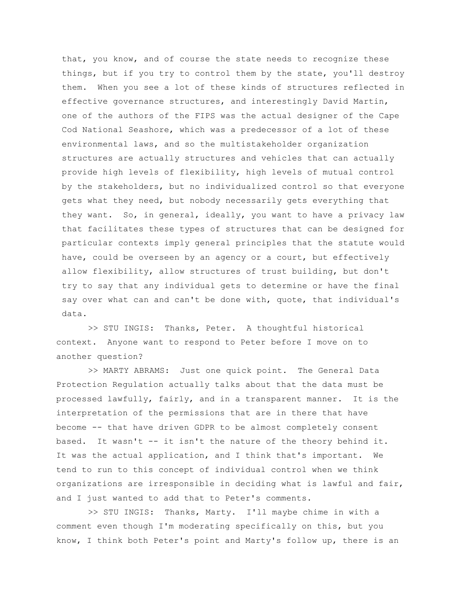that, you know, and of course the state needs to recognize these things, but if you try to control them by the state, you'll destroy them. When you see a lot of these kinds of structures reflected in effective governance structures, and interestingly David Martin, one of the authors of the FIPS was the actual designer of the Cape Cod National Seashore, which was a predecessor of a lot of these environmental laws, and so the multistakeholder organization structures are actually structures and vehicles that can actually provide high levels of flexibility, high levels of mutual control by the stakeholders, but no individualized control so that everyone gets what they need, but nobody necessarily gets everything that they want. So, in general, ideally, you want to have a privacy law that facilitates these types of structures that can be designed for particular contexts imply general principles that the statute would have, could be overseen by an agency or a court, but effectively allow flexibility, allow structures of trust building, but don't try to say that any individual gets to determine or have the final say over what can and can't be done with, quote, that individual's data.

>> STU INGIS: Thanks, Peter. A thoughtful historical context. Anyone want to respond to Peter before I move on to another question?

>> MARTY ABRAMS: Just one quick point. The General Data Protection Regulation actually talks about that the data must be processed lawfully, fairly, and in a transparent manner. It is the interpretation of the permissions that are in there that have become -- that have driven GDPR to be almost completely consent based. It wasn't -- it isn't the nature of the theory behind it. It was the actual application, and I think that's important. We tend to run to this concept of individual control when we think organizations are irresponsible in deciding what is lawful and fair, and I just wanted to add that to Peter's comments.

>> STU INGIS: Thanks, Marty. I'll maybe chime in with a comment even though I'm moderating specifically on this, but you know, I think both Peter's point and Marty's follow up, there is an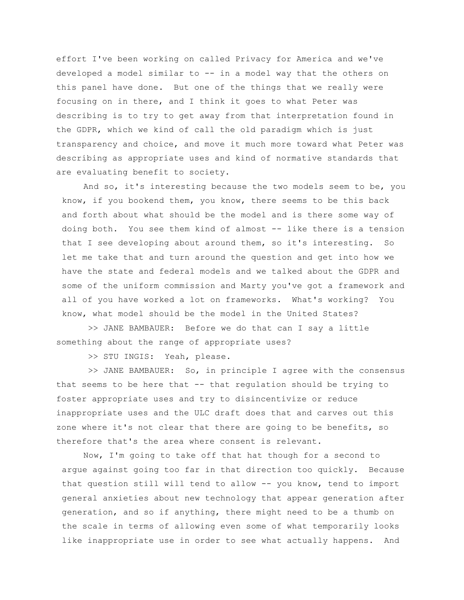effort I've been working on called Privacy for America and we've developed a model similar to -- in a model way that the others on this panel have done. But one of the things that we really were focusing on in there, and I think it goes to what Peter was describing is to try to get away from that interpretation found in the GDPR, which we kind of call the old paradigm which is just transparency and choice, and move it much more toward what Peter was describing as appropriate uses and kind of normative standards that are evaluating benefit to society.

And so, it's interesting because the two models seem to be, you know, if you bookend them, you know, there seems to be this back and forth about what should be the model and is there some way of doing both. You see them kind of almost -- like there is a tension that I see developing about around them, so it's interesting. So let me take that and turn around the question and get into how we have the state and federal models and we talked about the GDPR and some of the uniform commission and Marty you've got a framework and all of you have worked a lot on frameworks. What's working? You know, what model should be the model in the United States?

>> JANE BAMBAUER: Before we do that can I say a little something about the range of appropriate uses?

>> STU INGIS: Yeah, please.

>> JANE BAMBAUER: So, in principle I agree with the consensus that seems to be here that  $--$  that regulation should be trying to foster appropriate uses and try to disincentivize or reduce inappropriate uses and the ULC draft does that and carves out this zone where it's not clear that there are going to be benefits, so therefore that's the area where consent is relevant.

Now, I'm going to take off that hat though for a second to argue against going too far in that direction too quickly. Because that question still will tend to allow -- you know, tend to import general anxieties about new technology that appear generation after generation, and so if anything, there might need to be a thumb on the scale in terms of allowing even some of what temporarily looks like inappropriate use in order to see what actually happens. And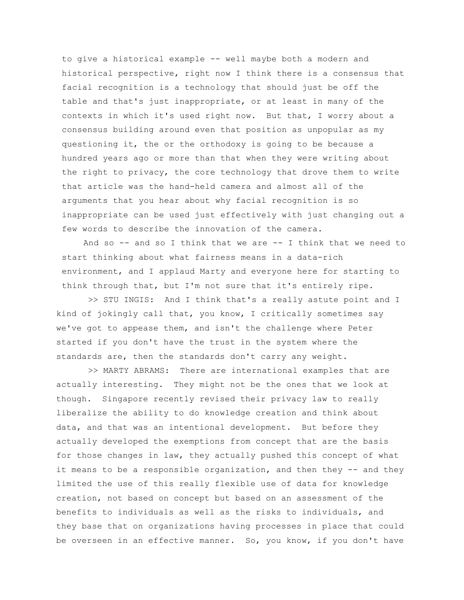to give a historical example -- well maybe both a modern and historical perspective, right now I think there is a consensus that facial recognition is a technology that should just be off the table and that's just inappropriate, or at least in many of the contexts in which it's used right now. But that, I worry about a consensus building around even that position as unpopular as my questioning it, the or the orthodoxy is going to be because a hundred years ago or more than that when they were writing about the right to privacy, the core technology that drove them to write that article was the hand-held camera and almost all of the arguments that you hear about why facial recognition is so inappropriate can be used just effectively with just changing out a few words to describe the innovation of the camera.

And so  $-$  and so I think that we are  $-$  I think that we need to start thinking about what fairness means in a data-rich environment, and I applaud Marty and everyone here for starting to think through that, but I'm not sure that it's entirely ripe.

>> STU INGIS: And I think that's a really astute point and I kind of jokingly call that, you know, I critically sometimes say we've got to appease them, and isn't the challenge where Peter started if you don't have the trust in the system where the standards are, then the standards don't carry any weight.

>> MARTY ABRAMS: There are international examples that are actually interesting. They might not be the ones that we look at though. Singapore recently revised their privacy law to really liberalize the ability to do knowledge creation and think about data, and that was an intentional development. But before they actually developed the exemptions from concept that are the basis for those changes in law, they actually pushed this concept of what it means to be a responsible organization, and then they  $-$  and they limited the use of this really flexible use of data for knowledge creation, not based on concept but based on an assessment of the benefits to individuals as well as the risks to individuals, and they base that on organizations having processes in place that could be overseen in an effective manner. So, you know, if you don't have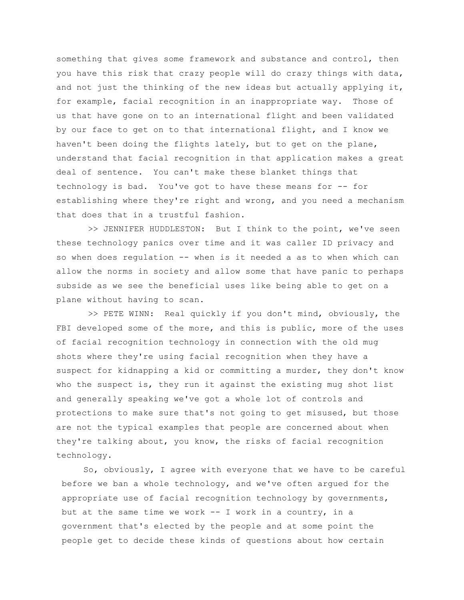something that gives some framework and substance and control, then you have this risk that crazy people will do crazy things with data, and not just the thinking of the new ideas but actually applying it, for example, facial recognition in an inappropriate way. Those of us that have gone on to an international flight and been validated by our face to get on to that international flight, and I know we haven't been doing the flights lately, but to get on the plane, understand that facial recognition in that application makes a great deal of sentence. You can't make these blanket things that technology is bad. You've got to have these means for -- for establishing where they're right and wrong, and you need a mechanism that does that in a trustful fashion.

>> JENNIFER HUDDLESTON: But I think to the point, we've seen these technology panics over time and it was caller ID privacy and so when does regulation -- when is it needed a as to when which can allow the norms in society and allow some that have panic to perhaps subside as we see the beneficial uses like being able to get on a plane without having to scan.

>> PETE WINN: Real quickly if you don't mind, obviously, the FBI developed some of the more, and this is public, more of the uses of facial recognition technology in connection with the old mug shots where they're using facial recognition when they have a suspect for kidnapping a kid or committing a murder, they don't know who the suspect is, they run it against the existing mug shot list and generally speaking we've got a whole lot of controls and protections to make sure that's not going to get misused, but those are not the typical examples that people are concerned about when they're talking about, you know, the risks of facial recognition technology.

So, obviously, I agree with everyone that we have to be careful before we ban a whole technology, and we've often argued for the appropriate use of facial recognition technology by governments, but at the same time we work -- I work in a country, in a government that's elected by the people and at some point the people get to decide these kinds of questions about how certain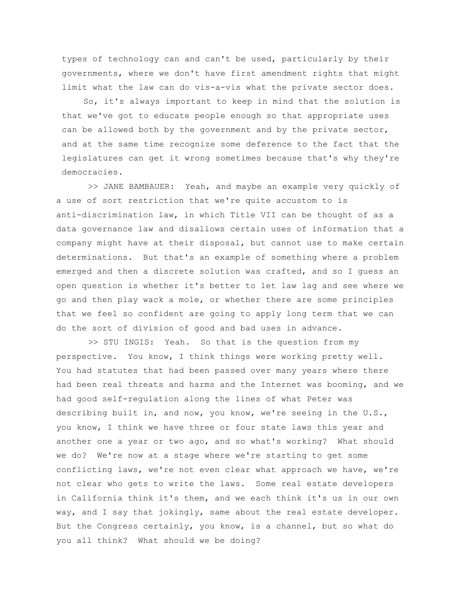types of technology can and can't be used, particularly by their governments, where we don't have first amendment rights that might limit what the law can do vis-a-vis what the private sector does.

So, it's always important to keep in mind that the solution is that we've got to educate people enough so that appropriate uses can be allowed both by the government and by the private sector, and at the same time recognize some deference to the fact that the legislatures can get it wrong sometimes because that's why they're democracies.

>> JANE BAMBAUER: Yeah, and maybe an example very quickly of a use of sort restriction that we're quite accustom to is anti-discrimination law, in which Title VII can be thought of as a data governance law and disallows certain uses of information that a company might have at their disposal, but cannot use to make certain determinations. But that's an example of something where a problem emerged and then a discrete solution was crafted, and so I guess an open question is whether it's better to let law lag and see where we go and then play wack a mole, or whether there are some principles that we feel so confident are going to apply long term that we can do the sort of division of good and bad uses in advance.

>> STU INGIS: Yeah. So that is the question from my perspective. You know, I think things were working pretty well. You had statutes that had been passed over many years where there had been real threats and harms and the Internet was booming, and we had good self-regulation along the lines of what Peter was describing built in, and now, you know, we're seeing in the U.S., you know, I think we have three or four state laws this year and another one a year or two ago, and so what's working? What should we do? We're now at a stage where we're starting to get some conflicting laws, we're not even clear what approach we have, we're not clear who gets to write the laws. Some real estate developers in California think it's them, and we each think it's us in our own way, and I say that jokingly, same about the real estate developer. But the Congress certainly, you know, is a channel, but so what do you all think? What should we be doing?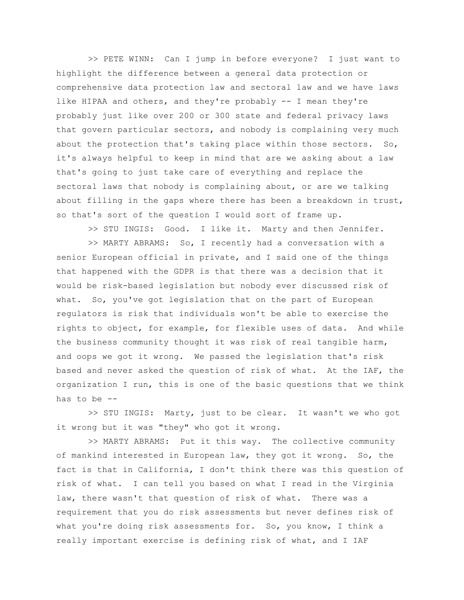>> PETE WINN: Can I jump in before everyone? I just want to highlight the difference between a general data protection or comprehensive data protection law and sectoral law and we have laws like HIPAA and others, and they're probably -- I mean they're probably just like over 200 or 300 state and federal privacy laws that govern particular sectors, and nobody is complaining very much about the protection that's taking place within those sectors. So, it's always helpful to keep in mind that are we asking about a law that's going to just take care of everything and replace the sectoral laws that nobody is complaining about, or are we talking about filling in the gaps where there has been a breakdown in trust, so that's sort of the question I would sort of frame up.

>> STU INGIS: Good. I like it. Marty and then Jennifer.

>> MARTY ABRAMS: So, I recently had a conversation with a senior European official in private, and I said one of the things that happened with the GDPR is that there was a decision that it would be risk-based legislation but nobody ever discussed risk of what. So, you've got legislation that on the part of European regulators is risk that individuals won't be able to exercise the rights to object, for example, for flexible uses of data. And while the business community thought it was risk of real tangible harm, and oops we got it wrong. We passed the legislation that's risk based and never asked the question of risk of what. At the IAF, the organization I run, this is one of the basic questions that we think has to be --

>> STU INGIS: Marty, just to be clear. It wasn't we who got it wrong but it was "they" who got it wrong.

>> MARTY ABRAMS: Put it this way. The collective community of mankind interested in European law, they got it wrong. So, the fact is that in California, I don't think there was this question of risk of what. I can tell you based on what I read in the Virginia law, there wasn't that question of risk of what. There was a requirement that you do risk assessments but never defines risk of what you're doing risk assessments for. So, you know, I think a really important exercise is defining risk of what, and I IAF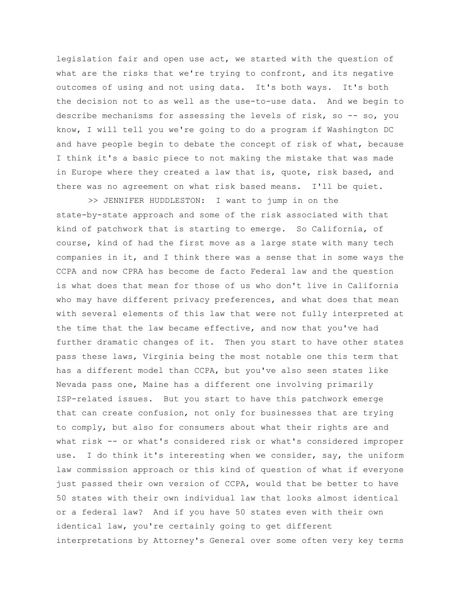legislation fair and open use act, we started with the question of what are the risks that we're trying to confront, and its negative outcomes of using and not using data. It's both ways. It's both the decision not to as well as the use-to-use data. And we begin to describe mechanisms for assessing the levels of risk, so -- so, you know, I will tell you we're going to do a program if Washington DC and have people begin to debate the concept of risk of what, because I think it's a basic piece to not making the mistake that was made in Europe where they created a law that is, quote, risk based, and there was no agreement on what risk based means. I'll be quiet.

>> JENNIFER HUDDLESTON: I want to jump in on the state-by-state approach and some of the risk associated with that kind of patchwork that is starting to emerge. So California, of course, kind of had the first move as a large state with many tech companies in it, and I think there was a sense that in some ways the CCPA and now CPRA has become de facto Federal law and the question is what does that mean for those of us who don't live in California who may have different privacy preferences, and what does that mean with several elements of this law that were not fully interpreted at the time that the law became effective, and now that you've had further dramatic changes of it. Then you start to have other states pass these laws, Virginia being the most notable one this term that has a different model than CCPA, but you've also seen states like Nevada pass one, Maine has a different one involving primarily ISP-related issues. But you start to have this patchwork emerge that can create confusion, not only for businesses that are trying to comply, but also for consumers about what their rights are and what risk -- or what's considered risk or what's considered improper use. I do think it's interesting when we consider, say, the uniform law commission approach or this kind of question of what if everyone just passed their own version of CCPA, would that be better to have 50 states with their own individual law that looks almost identical or a federal law? And if you have 50 states even with their own identical law, you're certainly going to get different interpretations by Attorney's General over some often very key terms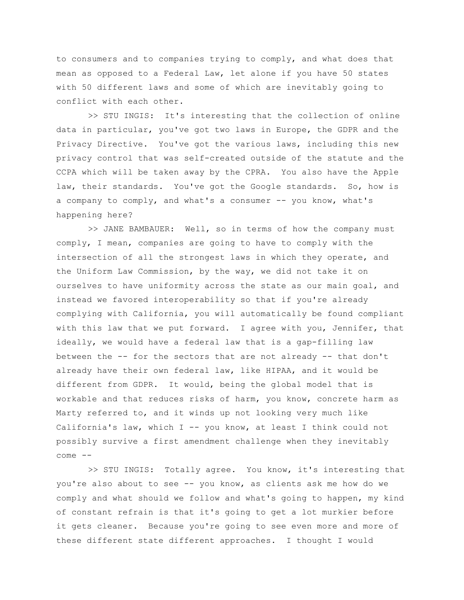to consumers and to companies trying to comply, and what does that mean as opposed to a Federal Law, let alone if you have 50 states with 50 different laws and some of which are inevitably going to conflict with each other.

>> STU INGIS: It's interesting that the collection of online data in particular, you've got two laws in Europe, the GDPR and the Privacy Directive. You've got the various laws, including this new privacy control that was self-created outside of the statute and the CCPA which will be taken away by the CPRA. You also have the Apple law, their standards. You've got the Google standards. So, how is a company to comply, and what's a consumer -- you know, what's happening here?

>> JANE BAMBAUER: Well, so in terms of how the company must comply, I mean, companies are going to have to comply with the intersection of all the strongest laws in which they operate, and the Uniform Law Commission, by the way, we did not take it on ourselves to have uniformity across the state as our main goal, and instead we favored interoperability so that if you're already complying with California, you will automatically be found compliant with this law that we put forward. I agree with you, Jennifer, that ideally, we would have a federal law that is a gap-filling law between the -- for the sectors that are not already -- that don't already have their own federal law, like HIPAA, and it would be different from GDPR. It would, being the global model that is workable and that reduces risks of harm, you know, concrete harm as Marty referred to, and it winds up not looking very much like California's law, which I -- you know, at least I think could not possibly survive a first amendment challenge when they inevitably come --

>> STU INGIS: Totally agree. You know, it's interesting that you're also about to see -- you know, as clients ask me how do we comply and what should we follow and what's going to happen, my kind of constant refrain is that it's going to get a lot murkier before it gets cleaner. Because you're going to see even more and more of these different state different approaches. I thought I would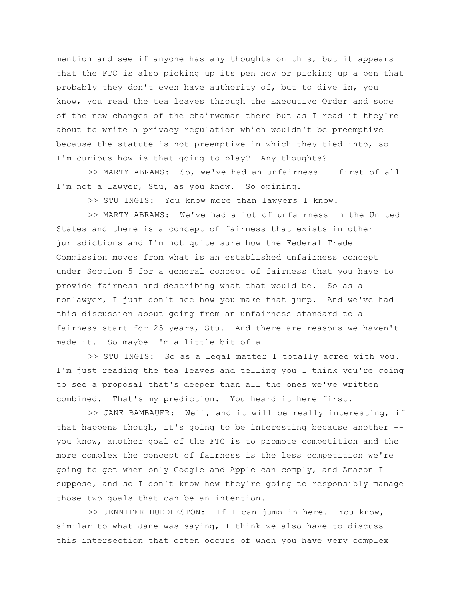mention and see if anyone has any thoughts on this, but it appears that the FTC is also picking up its pen now or picking up a pen that probably they don't even have authority of, but to dive in, you know, you read the tea leaves through the Executive Order and some of the new changes of the chairwoman there but as I read it they're about to write a privacy regulation which wouldn't be preemptive because the statute is not preemptive in which they tied into, so I'm curious how is that going to play? Any thoughts?

>> MARTY ABRAMS: So, we've had an unfairness -- first of all I'm not a lawyer, Stu, as you know. So opining.

>> STU INGIS: You know more than lawyers I know.

>> MARTY ABRAMS: We've had a lot of unfairness in the United States and there is a concept of fairness that exists in other jurisdictions and I'm not quite sure how the Federal Trade Commission moves from what is an established unfairness concept under Section 5 for a general concept of fairness that you have to provide fairness and describing what that would be. So as a nonlawyer, I just don't see how you make that jump. And we've had this discussion about going from an unfairness standard to a fairness start for 25 years, Stu. And there are reasons we haven't made it. So maybe I'm a little bit of a --

>> STU INGIS: So as a legal matter I totally agree with you. I'm just reading the tea leaves and telling you I think you're going to see a proposal that's deeper than all the ones we've written combined. That's my prediction. You heard it here first.

>> JANE BAMBAUER: Well, and it will be really interesting, if that happens though, it's going to be interesting because another - you know, another goal of the FTC is to promote competition and the more complex the concept of fairness is the less competition we're going to get when only Google and Apple can comply, and Amazon I suppose, and so I don't know how they're going to responsibly manage those two goals that can be an intention.

>> JENNIFER HUDDLESTON: If I can jump in here. You know, similar to what Jane was saying, I think we also have to discuss this intersection that often occurs of when you have very complex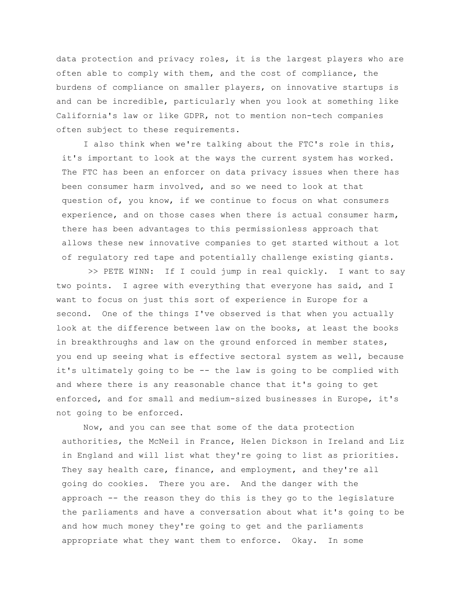data protection and privacy roles, it is the largest players who are often able to comply with them, and the cost of compliance, the burdens of compliance on smaller players, on innovative startups is and can be incredible, particularly when you look at something like California's law or like GDPR, not to mention non-tech companies often subject to these requirements.

I also think when we're talking about the FTC's role in this, it's important to look at the ways the current system has worked. The FTC has been an enforcer on data privacy issues when there has been consumer harm involved, and so we need to look at that question of, you know, if we continue to focus on what consumers experience, and on those cases when there is actual consumer harm, there has been advantages to this permissionless approach that allows these new innovative companies to get started without a lot of regulatory red tape and potentially challenge existing giants.

>> PETE WINN: If I could jump in real quickly. I want to say two points. I agree with everything that everyone has said, and I want to focus on just this sort of experience in Europe for a second. One of the things I've observed is that when you actually look at the difference between law on the books, at least the books in breakthroughs and law on the ground enforced in member states, you end up seeing what is effective sectoral system as well, because it's ultimately going to be -- the law is going to be complied with and where there is any reasonable chance that it's going to get enforced, and for small and medium-sized businesses in Europe, it's not going to be enforced.

Now, and you can see that some of the data protection authorities, the McNeil in France, Helen Dickson in Ireland and Liz in England and will list what they're going to list as priorities. They say health care, finance, and employment, and they're all going do cookies. There you are. And the danger with the approach -- the reason they do this is they go to the legislature the parliaments and have a conversation about what it's going to be and how much money they're going to get and the parliaments appropriate what they want them to enforce. Okay. In some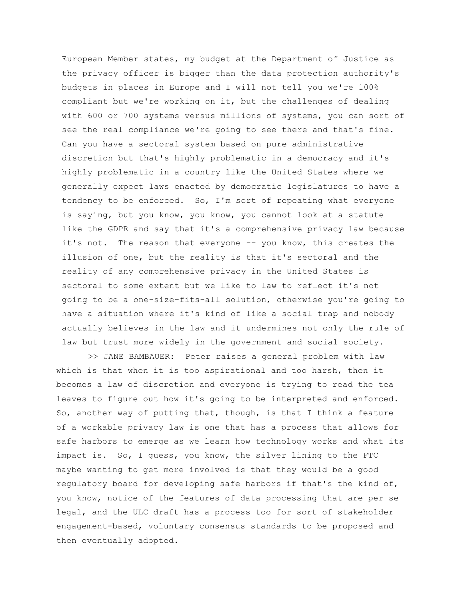European Member states, my budget at the Department of Justice as the privacy officer is bigger than the data protection authority's budgets in places in Europe and I will not tell you we're 100% compliant but we're working on it, but the challenges of dealing with 600 or 700 systems versus millions of systems, you can sort of see the real compliance we're going to see there and that's fine. Can you have a sectoral system based on pure administrative discretion but that's highly problematic in a democracy and it's highly problematic in a country like the United States where we generally expect laws enacted by democratic legislatures to have a tendency to be enforced. So, I'm sort of repeating what everyone is saying, but you know, you know, you cannot look at a statute like the GDPR and say that it's a comprehensive privacy law because it's not. The reason that everyone -- you know, this creates the illusion of one, but the reality is that it's sectoral and the reality of any comprehensive privacy in the United States is sectoral to some extent but we like to law to reflect it's not going to be a one-size-fits-all solution, otherwise you're going to have a situation where it's kind of like a social trap and nobody actually believes in the law and it undermines not only the rule of law but trust more widely in the government and social society.

>> JANE BAMBAUER: Peter raises a general problem with law which is that when it is too aspirational and too harsh, then it becomes a law of discretion and everyone is trying to read the tea leaves to figure out how it's going to be interpreted and enforced. So, another way of putting that, though, is that I think a feature of a workable privacy law is one that has a process that allows for safe harbors to emerge as we learn how technology works and what its impact is. So, I guess, you know, the silver lining to the FTC maybe wanting to get more involved is that they would be a good regulatory board for developing safe harbors if that's the kind of, you know, notice of the features of data processing that are per se legal, and the ULC draft has a process too for sort of stakeholder engagement-based, voluntary consensus standards to be proposed and then eventually adopted.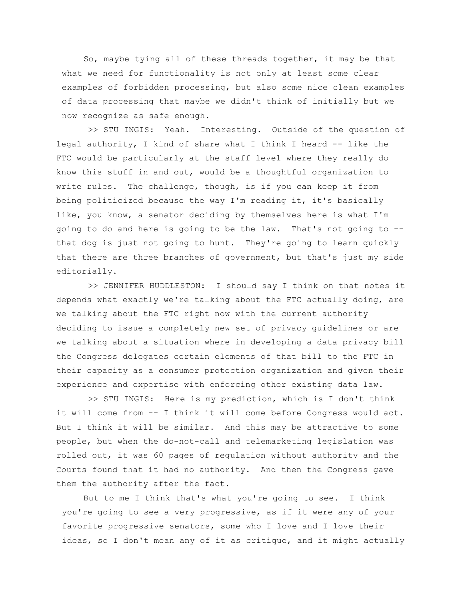So, maybe tying all of these threads together, it may be that what we need for functionality is not only at least some clear examples of forbidden processing, but also some nice clean examples of data processing that maybe we didn't think of initially but we now recognize as safe enough.

>> STU INGIS: Yeah. Interesting. Outside of the question of legal authority, I kind of share what I think I heard -- like the FTC would be particularly at the staff level where they really do know this stuff in and out, would be a thoughtful organization to write rules. The challenge, though, is if you can keep it from being politicized because the way I'm reading it, it's basically like, you know, a senator deciding by themselves here is what I'm going to do and here is going to be the law. That's not going to - that dog is just not going to hunt. They're going to learn quickly that there are three branches of government, but that's just my side editorially.

>> JENNIFER HUDDLESTON: I should say I think on that notes it depends what exactly we're talking about the FTC actually doing, are we talking about the FTC right now with the current authority deciding to issue a completely new set of privacy guidelines or are we talking about a situation where in developing a data privacy bill the Congress delegates certain elements of that bill to the FTC in their capacity as a consumer protection organization and given their experience and expertise with enforcing other existing data law.

>> STU INGIS: Here is my prediction, which is I don't think it will come from -- I think it will come before Congress would act. But I think it will be similar. And this may be attractive to some people, but when the do-not-call and telemarketing legislation was rolled out, it was 60 pages of regulation without authority and the Courts found that it had no authority. And then the Congress gave them the authority after the fact.

But to me I think that's what you're going to see. I think you're going to see a very progressive, as if it were any of your favorite progressive senators, some who I love and I love their ideas, so I don't mean any of it as critique, and it might actually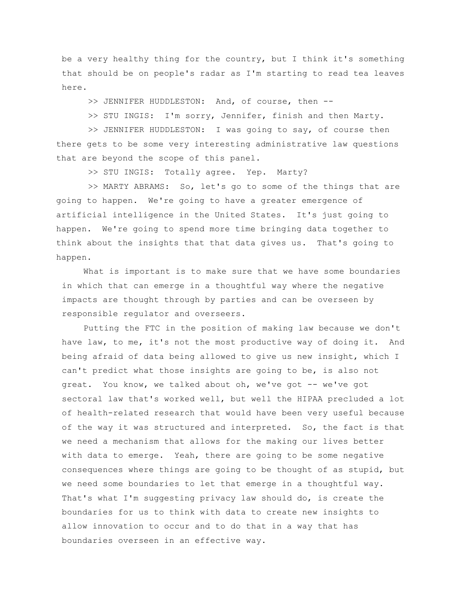be a very healthy thing for the country, but I think it's something that should be on people's radar as I'm starting to read tea leaves here.

>> JENNIFER HUDDLESTON: And, of course, then --

>> STU INGIS: I'm sorry, Jennifer, finish and then Marty.

>> JENNIFER HUDDLESTON: I was going to say, of course then there gets to be some very interesting administrative law questions that are beyond the scope of this panel.

>> STU INGIS: Totally agree. Yep. Marty?

>> MARTY ABRAMS: So, let's go to some of the things that are going to happen. We're going to have a greater emergence of artificial intelligence in the United States. It's just going to happen. We're going to spend more time bringing data together to think about the insights that that data gives us. That's going to happen.

What is important is to make sure that we have some boundaries in which that can emerge in a thoughtful way where the negative impacts are thought through by parties and can be overseen by responsible regulator and overseers.

Putting the FTC in the position of making law because we don't have law, to me, it's not the most productive way of doing it. And being afraid of data being allowed to give us new insight, which I can't predict what those insights are going to be, is also not great. You know, we talked about oh, we've got -- we've got sectoral law that's worked well, but well the HIPAA precluded a lot of health-related research that would have been very useful because of the way it was structured and interpreted. So, the fact is that we need a mechanism that allows for the making our lives better with data to emerge. Yeah, there are going to be some negative consequences where things are going to be thought of as stupid, but we need some boundaries to let that emerge in a thoughtful way. That's what I'm suggesting privacy law should do, is create the boundaries for us to think with data to create new insights to allow innovation to occur and to do that in a way that has boundaries overseen in an effective way.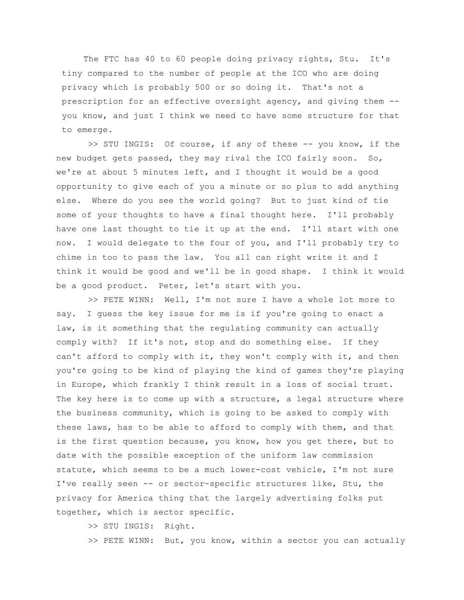The FTC has 40 to 60 people doing privacy rights, Stu. It's tiny compared to the number of people at the ICO who are doing privacy which is probably 500 or so doing it. That's not a prescription for an effective oversight agency, and giving them - you know, and just I think we need to have some structure for that to emerge.

>> STU INGIS: Of course, if any of these -- you know, if the new budget gets passed, they may rival the ICO fairly soon. So, we're at about 5 minutes left, and I thought it would be a good opportunity to give each of you a minute or so plus to add anything else. Where do you see the world going? But to just kind of tie some of your thoughts to have a final thought here. I'll probably have one last thought to tie it up at the end. I'll start with one now. I would delegate to the four of you, and I'll probably try to chime in too to pass the law. You all can right write it and I think it would be good and we'll be in good shape. I think it would be a good product. Peter, let's start with you.

>> PETE WINN: Well, I'm not sure I have a whole lot more to say. I guess the key issue for me is if you're going to enact a law, is it something that the regulating community can actually comply with? If it's not, stop and do something else. If they can't afford to comply with it, they won't comply with it, and then you're going to be kind of playing the kind of games they're playing in Europe, which frankly I think result in a loss of social trust. The key here is to come up with a structure, a legal structure where the business community, which is going to be asked to comply with these laws, has to be able to afford to comply with them, and that is the first question because, you know, how you get there, but to date with the possible exception of the uniform law commission statute, which seems to be a much lower-cost vehicle, I'm not sure I've really seen -- or sector-specific structures like, Stu, the privacy for America thing that the largely advertising folks put together, which is sector specific.

>> STU INGIS: Right.

>> PETE WINN: But, you know, within a sector you can actually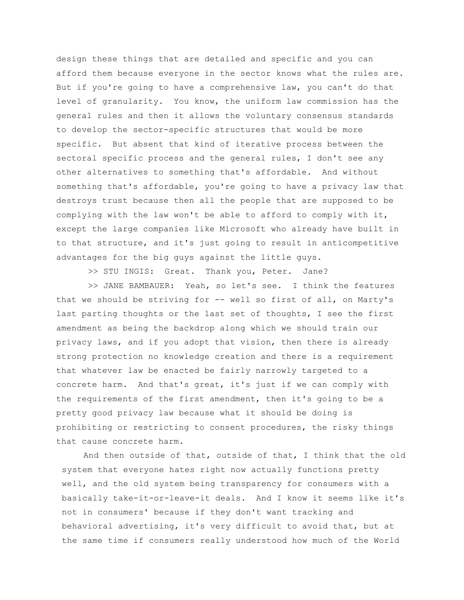design these things that are detailed and specific and you can afford them because everyone in the sector knows what the rules are. But if you're going to have a comprehensive law, you can't do that level of granularity. You know, the uniform law commission has the general rules and then it allows the voluntary consensus standards to develop the sector-specific structures that would be more specific. But absent that kind of iterative process between the sectoral specific process and the general rules, I don't see any other alternatives to something that's affordable. And without something that's affordable, you're going to have a privacy law that destroys trust because then all the people that are supposed to be complying with the law won't be able to afford to comply with it, except the large companies like Microsoft who already have built in to that structure, and it's just going to result in anticompetitive advantages for the big guys against the little guys.

>> STU INGIS: Great. Thank you, Peter. Jane?

>> JANE BAMBAUER: Yeah, so let's see. I think the features that we should be striving for -- well so first of all, on Marty's last parting thoughts or the last set of thoughts, I see the first amendment as being the backdrop along which we should train our privacy laws, and if you adopt that vision, then there is already strong protection no knowledge creation and there is a requirement that whatever law be enacted be fairly narrowly targeted to a concrete harm. And that's great, it's just if we can comply with the requirements of the first amendment, then it's going to be a pretty good privacy law because what it should be doing is prohibiting or restricting to consent procedures, the risky things that cause concrete harm.

And then outside of that, outside of that, I think that the old system that everyone hates right now actually functions pretty well, and the old system being transparency for consumers with a basically take-it-or-leave-it deals. And I know it seems like it's not in consumers' because if they don't want tracking and behavioral advertising, it's very difficult to avoid that, but at the same time if consumers really understood how much of the World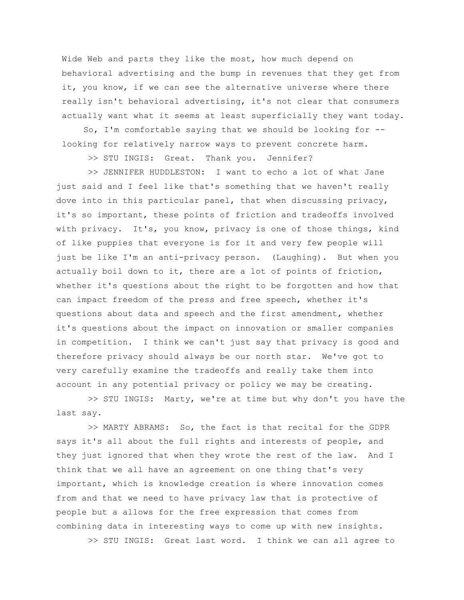Wide Web and parts they like the most, how much depend on behavioral advertising and the bump in revenues that they get from it, you know, if we can see the alternative universe where there really isn't behavioral advertising, it's not clear that consumers actually want what it seems at least superficially they want today.

So, I'm comfortable saying that we should be looking for - looking for relatively narrow ways to prevent concrete harm.

>> STU INGIS: Great. Thank you. Jennifer?

>> JENNIFER HUDDLESTON: I want to echo a lot of what Jane just said and I feel like that's something that we haven't really dove into in this particular panel, that when discussing privacy, it's so important, these points of friction and tradeoffs involved with privacy. It's, you know, privacy is one of those things, kind of like puppies that everyone is for it and very few people will just be like I'm an anti-privacy person. (Laughing). But when you actually boil down to it, there are a lot of points of friction, whether it's questions about the right to be forgotten and how that can impact freedom of the press and free speech, whether it's questions about data and speech and the first amendment, whether it's questions about the impact on innovation or smaller companies in competition. I think we can't just say that privacy is good and therefore privacy should always be our north star. We've got to very carefully examine the tradeoffs and really take them into account in any potential privacy or policy we may be creating.

>> STU INGIS: Marty, we're at time but why don't you have the last say.

>> MARTY ABRAMS: So, the fact is that recital for the GDPR says it's all about the full rights and interests of people, and they just ignored that when they wrote the rest of the law. And I think that we all have an agreement on one thing that's very important, which is knowledge creation is where innovation comes from and that we need to have privacy law that is protective of people but a allows for the free expression that comes from combining data in interesting ways to come up with new insights.

>> STU INGIS: Great last word. I think we can all agree to